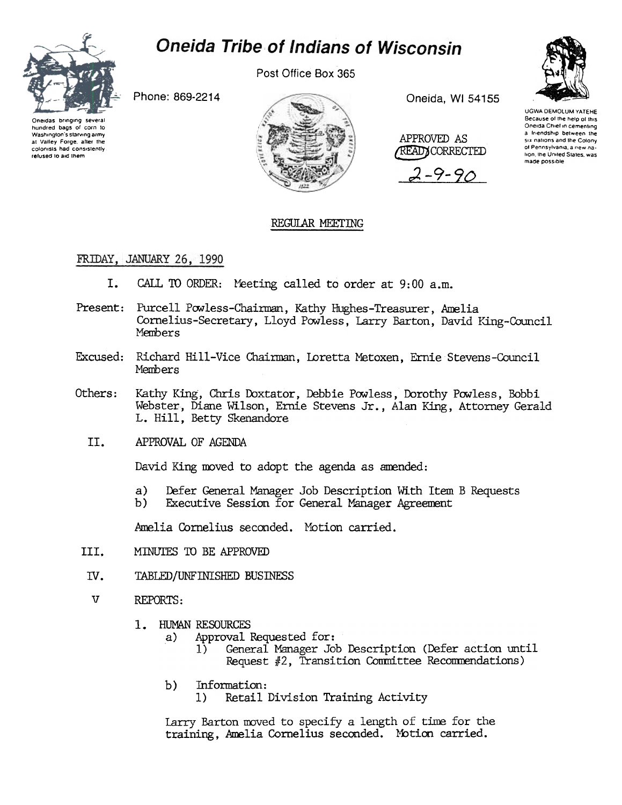

# **Oneida Tribe of Indians of Wisconsin**

Post Office Box 365

Phone: 869-2214

Oneidas bringing several<br>hundred bags of corn to Washington's starving army at Valley Forge, after the colonists had consistently refused to aid them



Oneida, WI 54155



 $9 - 90$ 



**UGWA DEMOLUM YATEHE** Because of the help of this Oneida Chief in cementing a friendship between the six nations and the Colony of Pennsylvania, a new nation, the United States, was made possible

## REGULAR MEETING

### FRIDAY, JANUARY 26, 1990

- I. CALL TO ORDER: Meeting called to order at 9:00 a.m.
- Present: Purcell Powless-Chairman, Kathy Hughes-Treasurer, Amelia Cornelius-Secretary, Lloyd Powless, Larry Barton, David King-Council Members
- Excused: Richard Hill-Vice Chairman, Loretta Metoxen, Ernie Stevens-Council Members
- Kathy King, Chris Doxtator, Debbie Powless, Dorothy Powless, Bobbi Others: Webster, Diane Wilson, Ernie Stevens Jr., Alan King, Attorney Gerald L. Hill, Betty Skenandore
	- II. APPROVAL OF AGENDA

David King moved to adopt the agenda as amended:

- $a)$ Defer General Manager Job Description With Item B Requests
- Executive Session for General Manager Agreement b).

Amelia Cornelius seconded. Motion carried.

- III. MINUTES TO BE APPROVED
- IV. TABLED/UNFINISHED BUSINESS
- $\overline{V}$ REPORTS:
	- 1. HUMAN RESOURCES
		- Approval Requested for: a)
			- General Manager Job Description (Defer action until  $\left\{ \right\}$ Request #2, Transition Committee Recommendations)
		- $b)$ Information: Retail Division Training Activity  $1)$

Larry Barton moved to specify a length of time for the training, Amelia Cornelius seconded. Motion carried.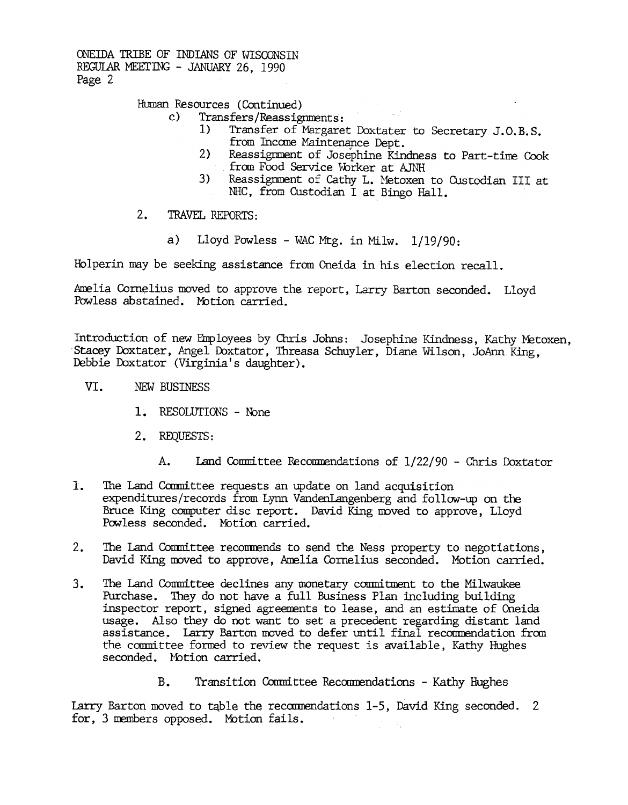ONEIDA TRIBE OF INDIANS OF WISCONSIN REGUI.AR MEErING -JANUARY 26, 1990 Page 2

## Human Resources (Continued)<br>c) Transfers/Reassign

- Transfers/Reassignments:<br>1) Transfer of Margaret Doxtates
	- Transfer of Margaret Doxtater to Secretary J.O.B.S. from Income Maintenance Dept.
	- 2) Reassignment of Josephine Kindness to Part-time Cook from Food Service Worker at AJNH
	- 3) Reassignment of Cathy L. Metoxen to Custodian III at NHC, from Custodian I at Bingo Hall.
- $2.$ TRAVEL REPORTS:
	- a) Lloyd Powless WAC Mtg. in Milw.  $1/19/90$ :

Halperin may be seeking assistance from Oneida in his election recall.

Amelia Cornelius moved to approve the report, Larry Barton seconded. Lloyd<br>Powless abstained. Motion carried.

Introduction of new Employees by Chris Johns: Josephine Kindness, Kathy Metoxen, Stacey Doxtater, Angel Doxtator, Threasa Schuyler, Diane Wilson, JoAnn King, Debbie Doxtator (Virginia's daughter).

- VI. NEW BUSINESS
	- 1. RESOLUTIONS None
	- 2. REQUESTS:
		-
- expenditures/records from Lynn Vandenlangenberg and follow-up on the Bruce King computer disc report. David King moved to approve, Lloyd Powless seconded. Motion carried.
- The Land Conmittee recormends to send the Ness property to negotiations, David King moved to approve, Amelia Cornelius seconded. Motion carried.
- A. Land Committee Recommendations of 1/22/90 Chris Doxtate<br>
1. The Land Committee requents an update on land acquisition<br>
expenditures/records from Lynn VandenLangenberg and follow-up on the<br>
Bruce King computer disc rep 1. The Land Cammittee requests an update on land acquisities requests an update on land acquisities are expected. Notion carried,<br>2. The Land Committee recommends to send the Ness property Davids King moved to approve, Ame 3. The Land Committee declines any monetary commitment to the Milwaukee Purchase. They do not have a full Business Plan including building inspector report, signed agreements to lease, and an estimate of Oneida usage. Also they do not want to set a precedent regarding distant land assistance. Larry Barton moved to defer until final recommendation from the committee formed to review the request is available, Kathy Hughes seconded. Motion carried.
	- B. Transition Committee Recommendations Kathy Hughes

Larry Barton moved to table the recommendations 1-5, David King seconded. 2 for, 3 members opposed. Motion fails.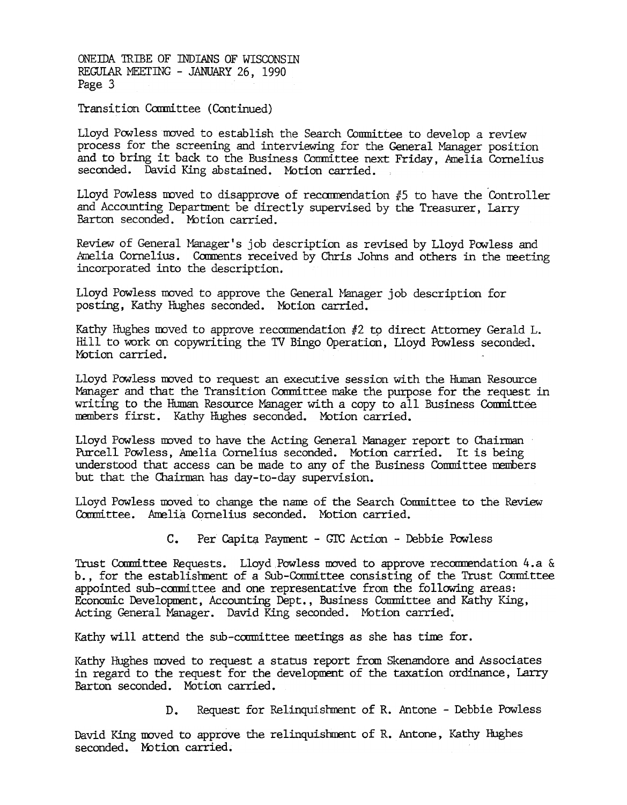ONEillA TRIBE OF INDIANS OF WISCONSIN REGULAR MEETING - JANUARY 26, 1990 Page 3

Transition Committee (Continued)

Lloyd Powless moved to establish the Search Committee to develop a review process for the screening and interviewing for the General Manager position and to bring it back to the Business Committee next Friday, Amelia Cornelius seconded. David King abstained. Motion carried.

Lloyd Powless moved to disapprove of recommendation  $#5$  to have the Controller and Accounting Department be directly supervised by the Treasurer, Larry Barton seconded. Motion carried.

Review of General Manager's job description as revised by Lloyd Pow less and Amelia Cornelius. Comments received by Chris Johns and others in the meeting incorporated into the description.

Lloyd Powless moved to approve the General Manager job description for posting, Kathy Hughes seconded. Motion carried.

Kathy Hughes moved to approve recommendation  $#2$  to direct Attorney Gerald L. Hill to work on copywriting the TV Bingo Operation, Lloyd Powless seconded. Motion carried.

Lloyd Powless moved to request an executive session with the Human Resource Manager and that the Transition Committee make the purpose for the request in writing to the Human Resource Manager with a copy to all Business Committee members first. Kathy Hughes seconded. Motion carried.

Lloyd Powless moved to have the Acting General Manager report to Chairman Purcell Powless, Amelia Cornelius seconded. Motion carried. It is being understood that access can be made to any of the Business Committee members but that the Chairman has day-to-day supervision.

Lloyd Powless moved to change the name of the Search Committee to the Review Committee. Amelia Cornelius seconded. Motion carried.

C. Per Capita Payment - GIC Action - Debbie Powless

Trust Committee Requests. Lloyd Powless moved to approve recommendation 4.a & b., for the establishment of a Sub-Committee consisting of the Trust Committee appointed sub-committee and one represerltative from the following areas: Economic Development, Accounting Dept., Business Committee and Kathy King, Acting General Manager. David King seconded. Motion carried'.

Kathy will attend the sub-committee meetings as she has time for.

Kathy Hughes moved to request a status report from Skenandore and Associates in regard to the request for the development of the taxation ordinance, Larry Barton seconded. Motion carried.

D. Request for Relinquishment of R. Antone - Debbie Powless

David King moved to approve the relinquishment of R. Antone, Kathy Hughes seconded. Motion carried.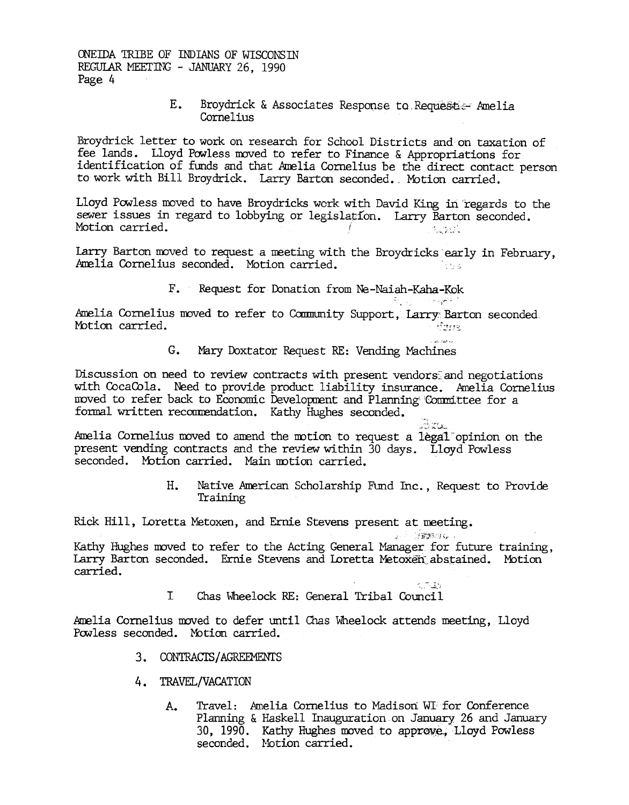ONEIDA TRIBE OF INDIANS OF WISCONSIN REGULAR MEETING - JANUARY 26, 1990 Page 4

> E. Broydrick & Associates Response to Requester Amelia Cornelius

Broydrick letter to work on research for School Districts and on taxation of fee lands. Lloyd Powless moved to refer to Finance & Appropriations for identification of funds and that Amelia Cornelius be the direct contact person to work with Bill Broydrick. Larry Barton seconded. Motion carried.

Lloyd Powless moved to have Broydricks work with David King in regards to the sewer issues in regard to lobbying or legislation. Larry Barton seconded. Motion carried. 

Larry Barton moved to request a meeting with the Broydricks early in February, Amelia Cornelius seconded. Motion carried. ik kale

F. Request for Donation from Ne-Naiah-Kaha-Kok

Amelia Cornelius moved to refer to Community Support, Larry Barton seconded. Motion carried. Sync

> G. Mary Doxtator Request RE: Vending Machines

Discussion on need to review contracts with present vendors and negotiations with CocaCola. Need to provide product liability insurance. Amelia Cornelius moved to refer back to Economic Development and Planning Committee for a formal written recommendation. Kathy Hughes seconded.

Amelia Cornelius moved to amend the motion to request a legal opinion on the present vending contracts and the review within 30 days. Lloyd Powless seconded. Motion carried. Main motion carried.

> Native American Scholarship Fund Inc., Request to Provide  $H_{\star}$ Training

Rick Hill, Loretta Metoxen, and Ernie Stevens present at meeting.

- J. S. S. S. S. S. Company of

 $57.35$ 

한 <sub>대</sub> 1999년 1월 20일<br>대한민국

San

Kathy Hughes moved to refer to the Acting General Manager for future training, Larry Barton seconded. Ernie Stevens and Loretta Metoxen abstained. Motion carried.

> $\mathbf I$ Chas Wheelock RE: General Tribal Council

Amelia Cornelius moved to defer until Chas Wheelock attends meeting, Lloyd Powless seconded. Motion carried.

- 3. CONTRACTS/AGREEMENTS
- 4. TRAVEL/VACATION
	- Travel: Amelia Cornelius to Madison WI for Conference  $A_{\bullet}$ Planning & Haskell Inauguration on January 26 and January 30, 1990. Kathy Hughes moved to approve, Lloyd Powless seconded. Motion carried.